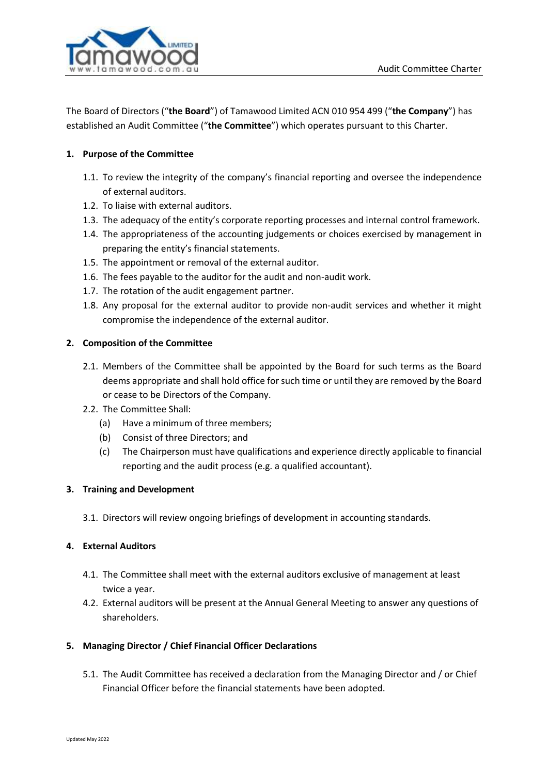

The Board of Directors ("**the Board**") of Tamawood Limited ACN 010 954 499 ("**the Company**") has established an Audit Committee ("**the Committee**") which operates pursuant to this Charter.

# **1. Purpose of the Committee**

- 1.1. To review the integrity of the company's financial reporting and oversee the independence of external auditors.
- 1.2. To liaise with external auditors.
- 1.3. The adequacy of the entity's corporate reporting processes and internal control framework.
- 1.4. The appropriateness of the accounting judgements or choices exercised by management in preparing the entity's financial statements.
- 1.5. The appointment or removal of the external auditor.
- 1.6. The fees payable to the auditor for the audit and non-audit work.
- 1.7. The rotation of the audit engagement partner.
- 1.8. Any proposal for the external auditor to provide non-audit services and whether it might compromise the independence of the external auditor.

### **2. Composition of the Committee**

- 2.1. Members of the Committee shall be appointed by the Board for such terms as the Board deems appropriate and shall hold office for such time or until they are removed by the Board or cease to be Directors of the Company.
- 2.2. The Committee Shall:
	- (a) Have a minimum of three members;
	- (b) Consist of three Directors; and
	- (c) The Chairperson must have qualifications and experience directly applicable to financial reporting and the audit process (e.g. a qualified accountant).

### **3. Training and Development**

3.1. Directors will review ongoing briefings of development in accounting standards.

### **4. External Auditors**

- 4.1. The Committee shall meet with the external auditors exclusive of management at least twice a year.
- 4.2. External auditors will be present at the Annual General Meeting to answer any questions of shareholders.

### **5. Managing Director / Chief Financial Officer Declarations**

5.1. The Audit Committee has received a declaration from the Managing Director and / or Chief Financial Officer before the financial statements have been adopted.